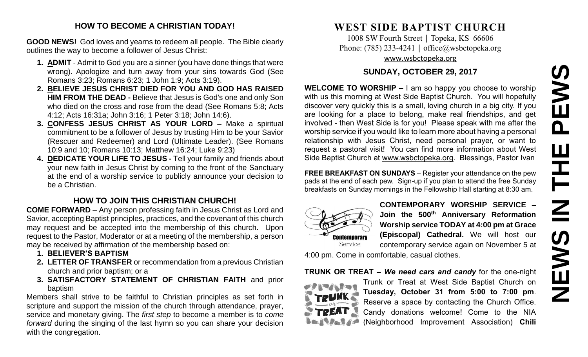# PEWS **NEWS IN THE PEWS**THE  $\overline{\mathbf{z}}$ **SMENS**

#### **HOW TO BECOME A CHRISTIAN TODAY!**

**GOOD NEWS!** God loves and yearns to redeem all people. The Bible clearly outlines the way to become a follower of Jesus Christ:

- **1. ADMIT** Admit to God you are a sinner (you have done things that were wrong). Apologize and turn away from your sins towards God (See Romans 3:23; Romans 6:23; 1 John 1:9; Acts 3:19).
- **2. BELIEVE JESUS CHRIST DIED FOR YOU AND GOD HAS RAISED HIM FROM THE DEAD -** Believe that Jesus is God's one and only Son who died on the cross and rose from the dead (See Romans 5:8; Acts 4:12; Acts 16:31a; John 3:16; 1 Peter 3:18; John 14:6).
- **3. CONFESS JESUS CHRIST AS YOUR LORD –** Make a spiritual commitment to be a follower of Jesus by trusting Him to be your Savior (Rescuer and Redeemer) and Lord (Ultimate Leader). (See Romans 10:9 and 10; Romans 10:13; Matthew 16:24; Luke 9:23)
- **4. DEDICATE YOUR LIFE TO JESUS -** Tell your family and friends about your new faith in Jesus Christ by coming to the front of the Sanctuary at the end of a worship service to publicly announce your decision to be a Christian.

#### **HOW TO JOIN THIS CHRISTIAN CHURCH!**

**COME FORWARD** – Any person professing faith in Jesus Christ as Lord and Savior, accepting Baptist principles, practices, and the covenant of this church may request and be accepted into the membership of this church. Upon request to the Pastor, Moderator or at a meeting of the membership, a person may be received by affirmation of the membership based on:

- **1. BELIEVER'S BAPTISM**
- **2. LETTER OF TRANSFER** or recommendation from a previous Christian church and prior baptism; or a
- **3. SATISFACTORY STATEMENT OF CHRISTIAN FAITH** and prior baptism

Members shall strive to be faithful to Christian principles as set forth in scripture and support the mission of the church through attendance, prayer, service and monetary giving. The *first step* to become a member is to *come forward* during the singing of the last hymn so you can share your decision with the congregation.

# **WEST SIDE BAPTIST CHURCH**

1008 SW Fourth Street | Topeka, KS 66606 Phone: (785) 233-4241 │ [office@wsbctopeka.org](mailto:office@wsbctopeka.org) [www.wsbctopeka.org](http://www.wsbctopeka.org/)

#### **SUNDAY, OCTOBER 29, 2017**

**WELCOME TO WORSHIP –** I am so happy you choose to worship with us this morning at West Side Baptist Church. You will hopefully discover very quickly this is a small, loving church in a big city. If you are looking for a place to belong, make real friendships, and get involved - then West Side is for you! Please speak with me after the worship service if you would like to learn more about having a personal relationship with Jesus Christ, need personal prayer, or want to request a pastoral visit! You can find more information about West Side Baptist Church at [www.wsbctopeka.org.](http://www.wsbctopeka.org/) Blessings, Pastor Ivan

**FREE BREAKFAST ON SUNDAYS** – Register your attendance on the pew pads at the end of each pew. Sign-up if you plan to attend the free Sunday breakfasts on Sunday mornings in the Fellowship Hall starting at 8:30 am.



**CONTEMPORARY WORSHIP SERVICE – Join the 500th Anniversary Reformation Worship service TODAY at 4:00 pm at Grace (Episcopal) Cathedral.** We will host our contemporary service again on November 5 at

4:00 pm. Come in comfortable, casual clothes.

#### **TRUNK OR TREAT –** *We need cars and candy* for the one-night



Trunk or Treat at West Side Baptist Church on **Tuesday, October 31 from 5:00 to 7:00 pm**. Reserve a space by contacting the Church Office. Candy donations welcome! Come to the NIA (Neighborhood Improvement Association) **Chili**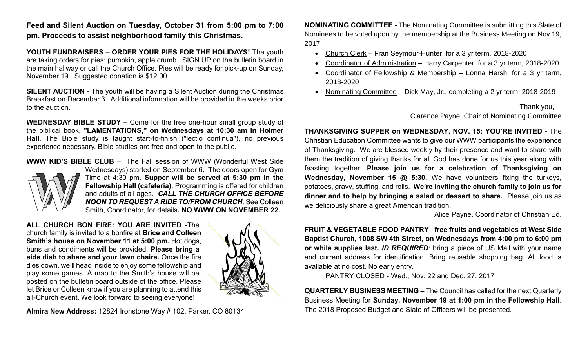**Feed and Silent Auction on Tuesday, October 31 from 5:00 pm to 7:00 pm. Proceeds to assist neighborhood family this Christmas.**

**YOUTH FUNDRAISERS – ORDER YOUR PIES FOR THE HOLIDAYS!** The youth are taking orders for pies: pumpkin, apple crumb. SIGN UP on the bulletin board in the main hallway or call the Church Office. Pies will be ready for pick-up on Sunday, November 19. Suggested donation is \$12.00.

**SILENT AUCTION -** The youth will be having a Silent Auction during the Christmas Breakfast on December 3. Additional information will be provided in the weeks prior to the auction.

**WEDNESDAY BIBLE STUDY –** Come for the free one-hour small group study of the biblical book, **"LAMENTATIONS," on Wednesdays at 10:30 am in Holmer Hall**. The Bible study is taught start-to-finish ("lectio continua"), no previous experience necessary. Bible studies are free and open to the public.

**WWW KID'S BIBLE CLUB** – The Fall session of WWW (Wonderful West Side



Wednesdays) started on September 6**.** The doors open for Gym Time at 4:30 pm. **Supper will be served at 5:30 pm in the Fellowship Hall (cafeteria)**. Programming is offered for children and adults of all ages. *CALL THE CHURCH OFFICE BEFORE NOON TO REQUEST A RIDE TO/FROM CHURCH.* See Colleen Smith, Coordinator, for details**. NO WWW ON NOVEMBER 22.** 

**ALL CHURCH BON FIRE: YOU ARE INVITED** -The church family is invited to a bonfire at **Brice and Colleen Smith's house on November 11 at 5:00 pm.** Hot dogs, buns and condiments will be provided. **Please bring a side dish to share and your lawn chairs.** Once the fire dies down, we'll head inside to enjoy some fellowship and play some games. A map to the Smith's house will be posted on the bulletin board outside of the office. Please let Brice or Colleen know if you are planning to attend this all-Church event. We look forward to seeing everyone!



**Almira New Address:** 12824 Ironstone Way # 102, Parker, CO 80134

**NOMINATING COMMITTEE -** The Nominating Committee is submitting this Slate of Nominees to be voted upon by the membership at the Business Meeting on Nov 19, 2017.

- Church Clerk Fran Seymour-Hunter, for a 3 yr term, 2018-2020
- Coordinator of Administration Harry Carpenter, for a 3 yr term, 2018-2020
- Coordinator of Fellowship & Membership Lonna Hersh, for a 3 yr term, 2018-2020
- Nominating Committee Dick May, Jr., completing a 2 yr term, 2018-2019

#### Thank you, Clarence Payne, Chair of Nominating Committee

**THANKSGIVING SUPPER on WEDNESDAY, NOV. 15: YOU'RE INVITED -** The Christian Education Committee wants to give our WWW participants the experience of Thanksgiving. We are blessed weekly by their presence and want to share with them the tradition of giving thanks for all God has done for us this year along with feasting together. **Please join us for a celebration of Thanksgiving on Wednesday, November 15 @ 5:30.** We have volunteers fixing the turkeys, potatoes, gravy, stuffing, and rolls. **We're inviting the church family to join us for dinner and to help by bringing a salad or dessert to share.** Please join us as we deliciously share a great American tradition.

Alice Payne, Coordinator of Christian Ed.

**FRUIT & VEGETABLE FOOD PANTRY** –**free fruits and vegetables at West Side Baptist Church, 1008 SW 4th Street, on Wednesdays from 4:00 pm to 6:00 pm or while supplies last.** *ID REQUIRED*: bring a piece of US Mail with your name and current address for identification. Bring reusable shopping bag. All food is available at no cost. No early entry.

PANTRY CLOSED - Wed., Nov. 22 and Dec. 27, 2017

**QUARTERLY BUSINESS MEETING** – The Council has called for the next Quarterly Business Meeting for **Sunday, November 19 at 1:00 pm in the Fellowship Hall**. The 2018 Proposed Budget and Slate of Officers will be presented.